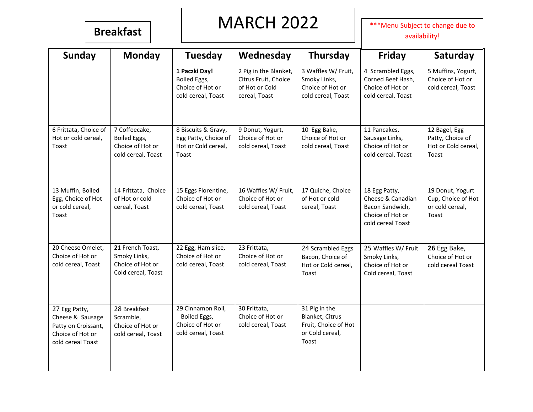## **Breakfast** MARCH 2022 **Breakfast**

availability!

| <b>Sunday</b>                                                                                     | <b>Monday</b>                                                              | Tuesday                                                                     | Wednesday                                                                        | <b>Thursday</b>                                                                      | <b>Friday</b>                                                                                  | Saturday                                                           |
|---------------------------------------------------------------------------------------------------|----------------------------------------------------------------------------|-----------------------------------------------------------------------------|----------------------------------------------------------------------------------|--------------------------------------------------------------------------------------|------------------------------------------------------------------------------------------------|--------------------------------------------------------------------|
|                                                                                                   |                                                                            | 1 Paczki Day!<br>Boiled Eggs,<br>Choice of Hot or<br>cold cereal, Toast     | 2 Pig in the Blanket,<br>Citrus Fruit, Choice<br>of Hot or Cold<br>cereal, Toast | 3 Waffles W/ Fruit,<br>Smoky Links,<br>Choice of Hot or<br>cold cereal, Toast        | 4 Scrambled Eggs,<br>Corned Beef Hash,<br>Choice of Hot or<br>cold cereal, Toast               | 5 Muffins, Yogurt,<br>Choice of Hot or<br>cold cereal, Toast       |
| 6 Frittata, Choice of<br>Hot or cold cereal,<br>Toast                                             | 7 Coffeecake,<br>Boiled Eggs,<br>Choice of Hot or<br>cold cereal, Toast    | 8 Biscuits & Gravy,<br>Egg Patty, Choice of<br>Hot or Cold cereal,<br>Toast | 9 Donut, Yogurt,<br>Choice of Hot or<br>cold cereal, Toast                       | 10 Egg Bake,<br>Choice of Hot or<br>cold cereal, Toast                               | 11 Pancakes,<br>Sausage Links,<br>Choice of Hot or<br>cold cereal, Toast                       | 12 Bagel, Egg<br>Patty, Choice of<br>Hot or Cold cereal,<br>Toast  |
| 13 Muffin, Boiled<br>Egg, Choice of Hot<br>or cold cereal,<br>Toast                               | 14 Frittata, Choice<br>of Hot or cold<br>cereal, Toast                     | 15 Eggs Florentine,<br>Choice of Hot or<br>cold cereal, Toast               | 16 Waffles W/ Fruit,<br>Choice of Hot or<br>cold cereal, Toast                   | 17 Quiche, Choice<br>of Hot or cold<br>cereal, Toast                                 | 18 Egg Patty,<br>Cheese & Canadian<br>Bacon Sandwich,<br>Choice of Hot or<br>cold cereal Toast | 19 Donut, Yogurt<br>Cup, Choice of Hot<br>or cold cereal,<br>Toast |
| 20 Cheese Omelet,<br>Choice of Hot or<br>cold cereal, Toast                                       | 21 French Toast,<br>Smoky Links,<br>Choice of Hot or<br>Cold cereal, Toast | 22 Egg, Ham slice,<br>Choice of Hot or<br>cold cereal, Toast                | 23 Frittata,<br>Choice of Hot or<br>cold cereal, Toast                           | 24 Scrambled Eggs<br>Bacon, Choice of<br>Hot or Cold cereal,<br>Toast                | 25 Waffles W/ Fruit<br>Smoky Links,<br>Choice of Hot or<br>Cold cereal, Toast                  | 26 Egg Bake,<br>Choice of Hot or<br>cold cereal Toast              |
| 27 Egg Patty,<br>Cheese & Sausage<br>Patty on Croissant,<br>Choice of Hot or<br>cold cereal Toast | 28 Breakfast<br>Scramble,<br>Choice of Hot or<br>cold cereal, Toast        | 29 Cinnamon Roll,<br>Boiled Eggs,<br>Choice of Hot or<br>cold cereal, Toast | 30 Frittata,<br>Choice of Hot or<br>cold cereal, Toast                           | 31 Pig in the<br>Blanket, Citrus<br>Fruit, Choice of Hot<br>or Cold cereal,<br>Toast |                                                                                                |                                                                    |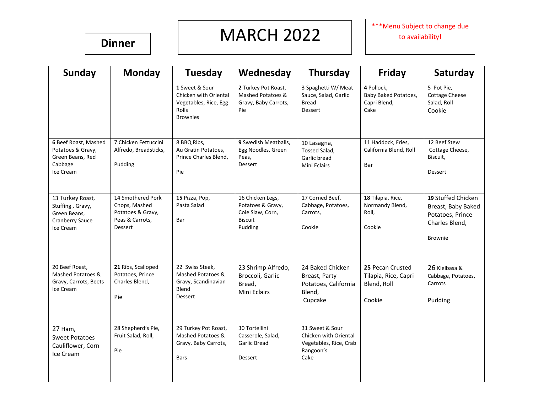### **Dinner**

## MARCH 2022

\*\*\*Menu Subject to change due to availability!

| <b>Sunday</b>                                                                         | <b>Monday</b>                                                                                | Tuesday                                                                                             | Wednesday                                                                              | Thursday                                                                                | Friday                                                            | Saturday                                                                                         |
|---------------------------------------------------------------------------------------|----------------------------------------------------------------------------------------------|-----------------------------------------------------------------------------------------------------|----------------------------------------------------------------------------------------|-----------------------------------------------------------------------------------------|-------------------------------------------------------------------|--------------------------------------------------------------------------------------------------|
|                                                                                       |                                                                                              | 1 Sweet & Sour<br>Chicken with Oriental<br>Vegetables, Rice, Egg<br><b>Rolls</b><br><b>Brownies</b> | 2 Turkey Pot Roast,<br>Mashed Potatoes &<br>Gravy, Baby Carrots,<br>Pie                | 3 Spaghetti W/ Meat<br>Sauce, Salad, Garlic<br><b>Bread</b><br>Dessert                  | 4 Pollock,<br>Baby Baked Potatoes,<br>Capri Blend,<br>Cake        | 5 Pot Pie,<br><b>Cottage Cheese</b><br>Salad, Roll<br>Cookie                                     |
| 6 Beef Roast, Mashed<br>Potatoes & Gravy,<br>Green Beans, Red<br>Cabbage<br>Ice Cream | 7 Chicken Fettuccini<br>Alfredo, Breadsticks,<br>Pudding                                     | 8 BBQ Ribs,<br>Au Gratin Potatoes,<br>Prince Charles Blend.<br>Pie                                  | 9 Swedish Meatballs,<br>Egg Noodles, Green<br>Peas.<br><b>Dessert</b>                  | 10 Lasagna,<br>Tossed Salad,<br>Garlic bread<br>Mini Eclairs                            | 11 Haddock, Fries,<br>California Blend, Roll<br>Bar               | 12 Beef Stew<br>Cottage Cheese,<br>Biscuit,<br>Dessert                                           |
| 13 Turkey Roast,<br>Stuffing, Gravy,<br>Green Beans.<br>Cranberry Sauce<br>Ice Cream  | 14 Smothered Pork<br>Chops, Mashed<br>Potatoes & Gravy,<br>Peas & Carrots,<br><b>Dessert</b> | 15 Pizza, Pop,<br>Pasta Salad<br>Bar                                                                | 16 Chicken Legs,<br>Potatoes & Gravy,<br>Cole Slaw, Corn,<br><b>Biscuit</b><br>Pudding | 17 Corned Beef,<br>Cabbage, Potatoes,<br>Carrots,<br>Cookie                             | 18 Tilapia, Rice,<br>Normandy Blend,<br>Roll,<br>Cookie           | 19 Stuffed Chicken<br>Breast, Baby Baked<br>Potatoes, Prince<br>Charles Blend,<br><b>Brownie</b> |
| 20 Beef Roast,<br>Mashed Potatoes &<br>Gravy, Carrots, Beets<br>Ice Cream             | 21 Ribs, Scalloped<br>Potatoes, Prince<br>Charles Blend,<br>Pie                              | 22 Swiss Steak,<br>Mashed Potatoes &<br>Gravy, Scandinavian<br>Blend<br>Dessert                     | 23 Shrimp Alfredo,<br>Broccoli, Garlic<br>Bread,<br>Mini Eclairs                       | 24 Baked Chicken<br>Breast, Party<br>Potatoes, California<br>Blend,<br>Cupcake          | 25 Pecan Crusted<br>Tilapia, Rice, Capri<br>Blend, Roll<br>Cookie | 26 Kielbasa &<br>Cabbage, Potatoes,<br>Carrots<br>Pudding                                        |
| 27 Ham,<br><b>Sweet Potatoes</b><br>Cauliflower, Corn<br>Ice Cream                    | 28 Shepherd's Pie,<br>Fruit Salad, Roll,<br>Pie                                              | 29 Turkey Pot Roast,<br>Mashed Potatoes &<br>Gravy, Baby Carrots,<br><b>Bars</b>                    | 30 Tortellini<br>Casserole, Salad,<br>Garlic Bread<br>Dessert                          | 31 Sweet & Sour<br>Chicken with Oriental<br>Vegetables, Rice, Crab<br>Rangoon's<br>Cake |                                                                   |                                                                                                  |